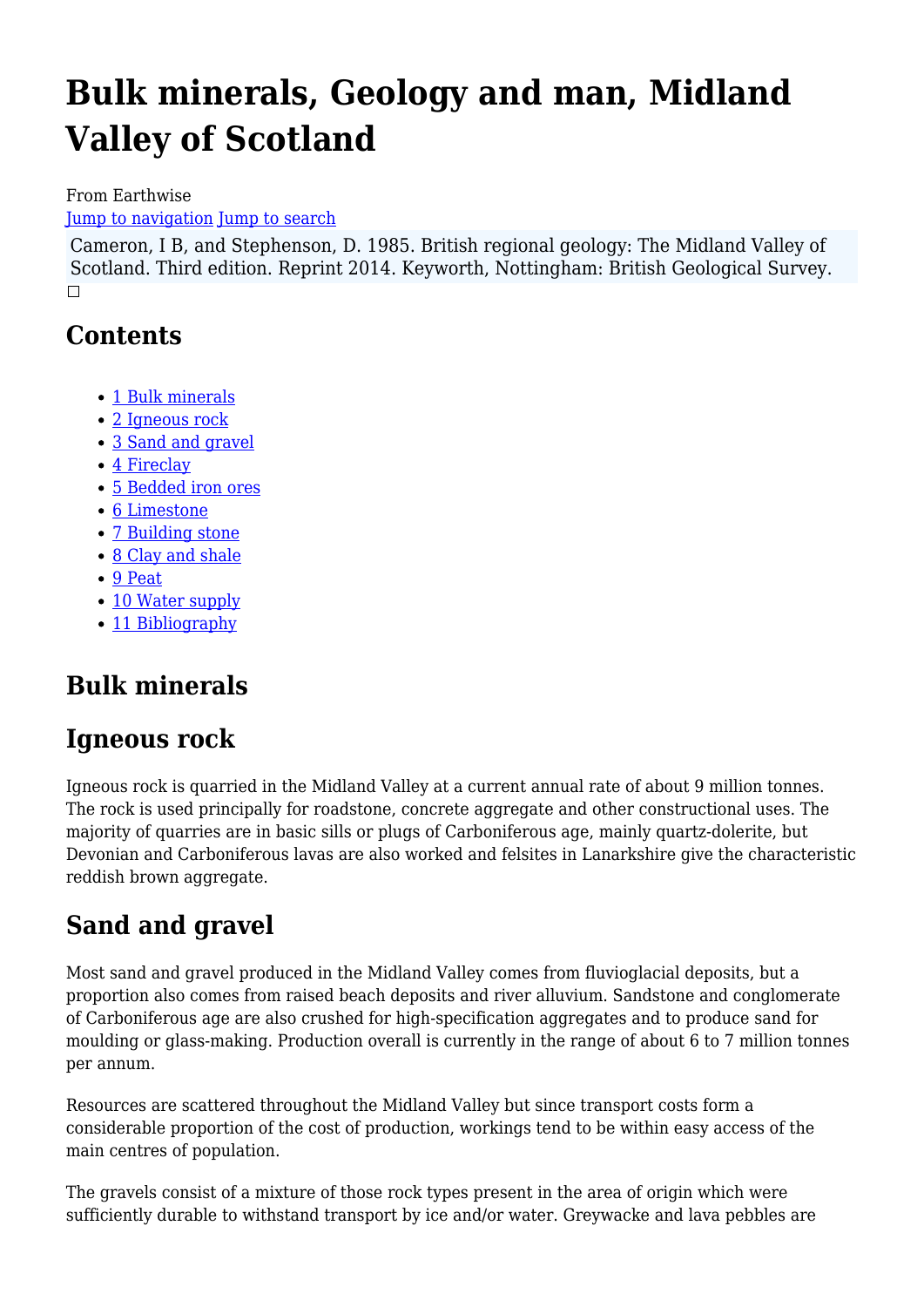# **Bulk minerals, Geology and man, Midland Valley of Scotland**

#### From Earthwise

[Jump to navigation](#page--1-0) [Jump to search](#page--1-0)

Cameron, I B, and Stephenson, D. 1985. British regional geology: The Midland Valley of Scotland. Third edition. Reprint 2014. Keyworth, Nottingham: British Geological Survey.  $\Box$ 

### **Contents**

- [1](#page--1-0) [Bulk minerals](#page--1-0)
- [2](#page--1-0) [Igneous rock](#page--1-0)
- [3](#page--1-0) [Sand and gravel](#page--1-0)
- [4](#page--1-0) [Fireclay](#page--1-0)
- [5](#page--1-0) [Bedded iron ores](#page--1-0)
- [6](#page--1-0) [Limestone](#page--1-0)
- [7](#page--1-0) [Building stone](#page--1-0)
- [8](#page--1-0) [Clay and shale](#page--1-0)
- [9](#page--1-0) [Peat](#page--1-0)
- [10](#page--1-0) [Water supply](#page--1-0)
- [11](#page--1-0) [Bibliography](#page--1-0)

## **Bulk minerals**

#### **Igneous rock**

Igneous rock is quarried in the Midland Valley at a current annual rate of about 9 million tonnes. The rock is used principally for roadstone, concrete aggregate and other constructional uses. The majority of quarries are in basic sills or plugs of Carboniferous age, mainly quartz-dolerite, but Devonian and Carboniferous lavas are also worked and felsites in Lanarkshire give the characteristic reddish brown aggregate.

# **Sand and gravel**

Most sand and gravel produced in the Midland Valley comes from fluvioglacial deposits, but a proportion also comes from raised beach deposits and river alluvium. Sandstone and conglomerate of Carboniferous age are also crushed for high-specification aggregates and to produce sand for moulding or glass-making. Production overall is currently in the range of about 6 to 7 million tonnes per annum.

Resources are scattered throughout the Midland Valley but since transport costs form a considerable proportion of the cost of production, workings tend to be within easy access of the main centres of population.

The gravels consist of a mixture of those rock types present in the area of origin which were sufficiently durable to withstand transport by ice and/or water. Greywacke and lava pebbles are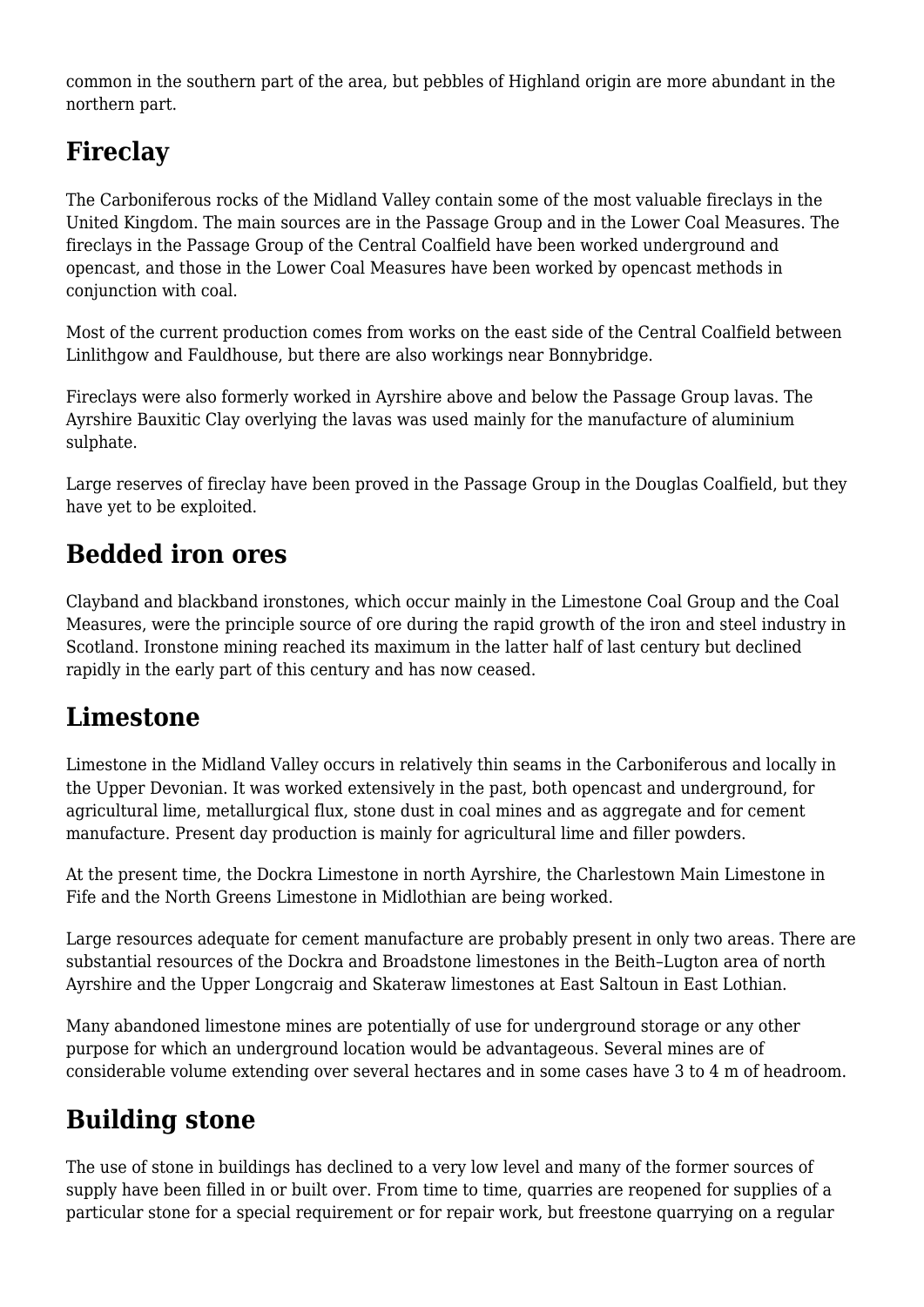common in the southern part of the area, but pebbles of Highland origin are more abundant in the northern part.

# **Fireclay**

The Carboniferous rocks of the Midland Valley contain some of the most valuable fireclays in the United Kingdom. The main sources are in the Passage Group and in the Lower Coal Measures. The fireclays in the Passage Group of the Central Coalfield have been worked underground and opencast, and those in the Lower Coal Measures have been worked by opencast methods in conjunction with coal.

Most of the current production comes from works on the east side of the Central Coalfield between Linlithgow and Fauldhouse, but there are also workings near Bonnybridge.

Fireclays were also formerly worked in Ayrshire above and below the Passage Group lavas. The Ayrshire Bauxitic Clay overlying the lavas was used mainly for the manufacture of aluminium sulphate.

Large reserves of fireclay have been proved in the Passage Group in the Douglas Coalfield, but they have yet to be exploited.

#### **Bedded iron ores**

Clayband and blackband ironstones, which occur mainly in the Limestone Coal Group and the Coal Measures, were the principle source of ore during the rapid growth of the iron and steel industry in Scotland. Ironstone mining reached its maximum in the latter half of last century but declined rapidly in the early part of this century and has now ceased.

#### **Limestone**

Limestone in the Midland Valley occurs in relatively thin seams in the Carboniferous and locally in the Upper Devonian. It was worked extensively in the past, both opencast and underground, for agricultural lime, metallurgical flux, stone dust in coal mines and as aggregate and for cement manufacture. Present day production is mainly for agricultural lime and filler powders.

At the present time, the Dockra Limestone in north Ayrshire, the Charlestown Main Limestone in Fife and the North Greens Limestone in Midlothian are being worked.

Large resources adequate for cement manufacture are probably present in only two areas. There are substantial resources of the Dockra and Broadstone limestones in the Beith–Lugton area of north Ayrshire and the Upper Longcraig and Skateraw limestones at East Saltoun in East Lothian.

Many abandoned limestone mines are potentially of use for underground storage or any other purpose for which an underground location would be advantageous. Several mines are of considerable volume extending over several hectares and in some cases have 3 to 4 m of headroom.

## **Building stone**

The use of stone in buildings has declined to a very low level and many of the former sources of supply have been filled in or built over. From time to time, quarries are reopened for supplies of a particular stone for a special requirement or for repair work, but freestone quarrying on a regular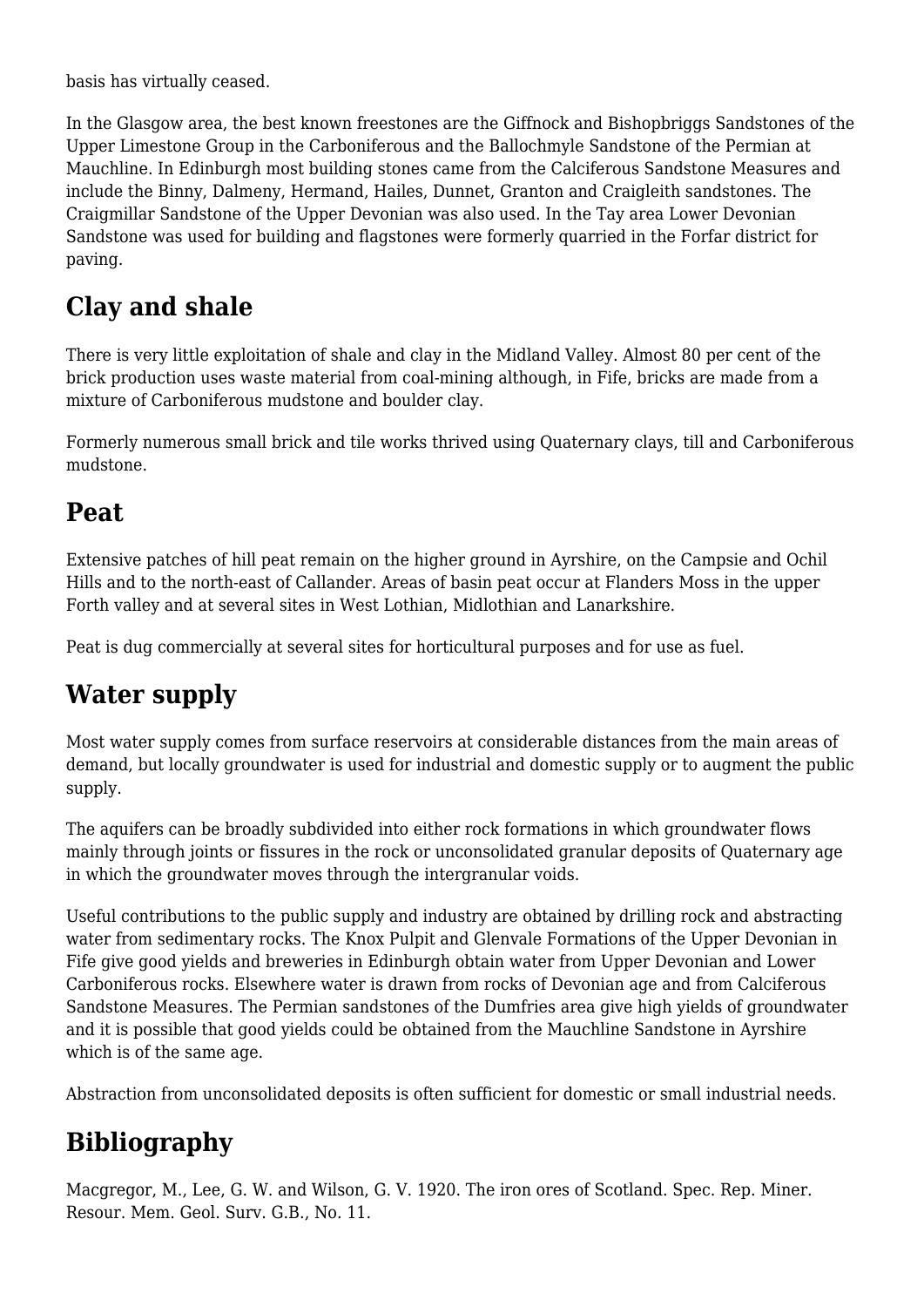basis has virtually ceased.

In the Glasgow area, the best known freestones are the Giffnock and Bishopbriggs Sandstones of the Upper Limestone Group in the Carboniferous and the Ballochmyle Sandstone of the Permian at Mauchline. In Edinburgh most building stones came from the Calciferous Sandstone Measures and include the Binny, Dalmeny, Hermand, Hailes, Dunnet, Granton and Craigleith sandstones. The Craigmillar Sandstone of the Upper Devonian was also used. In the Tay area Lower Devonian Sandstone was used for building and flagstones were formerly quarried in the Forfar district for paving.

### **Clay and shale**

There is very little exploitation of shale and clay in the Midland Valley. Almost 80 per cent of the brick production uses waste material from coal-mining although, in Fife, bricks are made from a mixture of Carboniferous mudstone and boulder clay.

Formerly numerous small brick and tile works thrived using Quaternary clays, till and Carboniferous mudstone.

#### **Peat**

Extensive patches of hill peat remain on the higher ground in Ayrshire, on the Campsie and Ochil Hills and to the north-east of Callander. Areas of basin peat occur at Flanders Moss in the upper Forth valley and at several sites in West Lothian, Midlothian and Lanarkshire.

Peat is dug commercially at several sites for horticultural purposes and for use as fuel.

## **Water supply**

Most water supply comes from surface reservoirs at considerable distances from the main areas of demand, but locally groundwater is used for industrial and domestic supply or to augment the public supply.

The aquifers can be broadly subdivided into either rock formations in which groundwater flows mainly through joints or fissures in the rock or unconsolidated granular deposits of Quaternary age in which the groundwater moves through the intergranular voids.

Useful contributions to the public supply and industry are obtained by drilling rock and abstracting water from sedimentary rocks. The Knox Pulpit and Glenvale Formations of the Upper Devonian in Fife give good yields and breweries in Edinburgh obtain water from Upper Devonian and Lower Carboniferous rocks. Elsewhere water is drawn from rocks of Devonian age and from Calciferous Sandstone Measures. The Permian sandstones of the Dumfries area give high yields of groundwater and it is possible that good yields could be obtained from the Mauchline Sandstone in Ayrshire which is of the same age.

Abstraction from unconsolidated deposits is often sufficient for domestic or small industrial needs.

# **Bibliography**

Macgregor, M., Lee, G. W. and Wilson, G. V. 1920. The iron ores of Scotland. Spec. Rep. Miner. Resour. Mem. Geol. Surv. G.B., No. 11.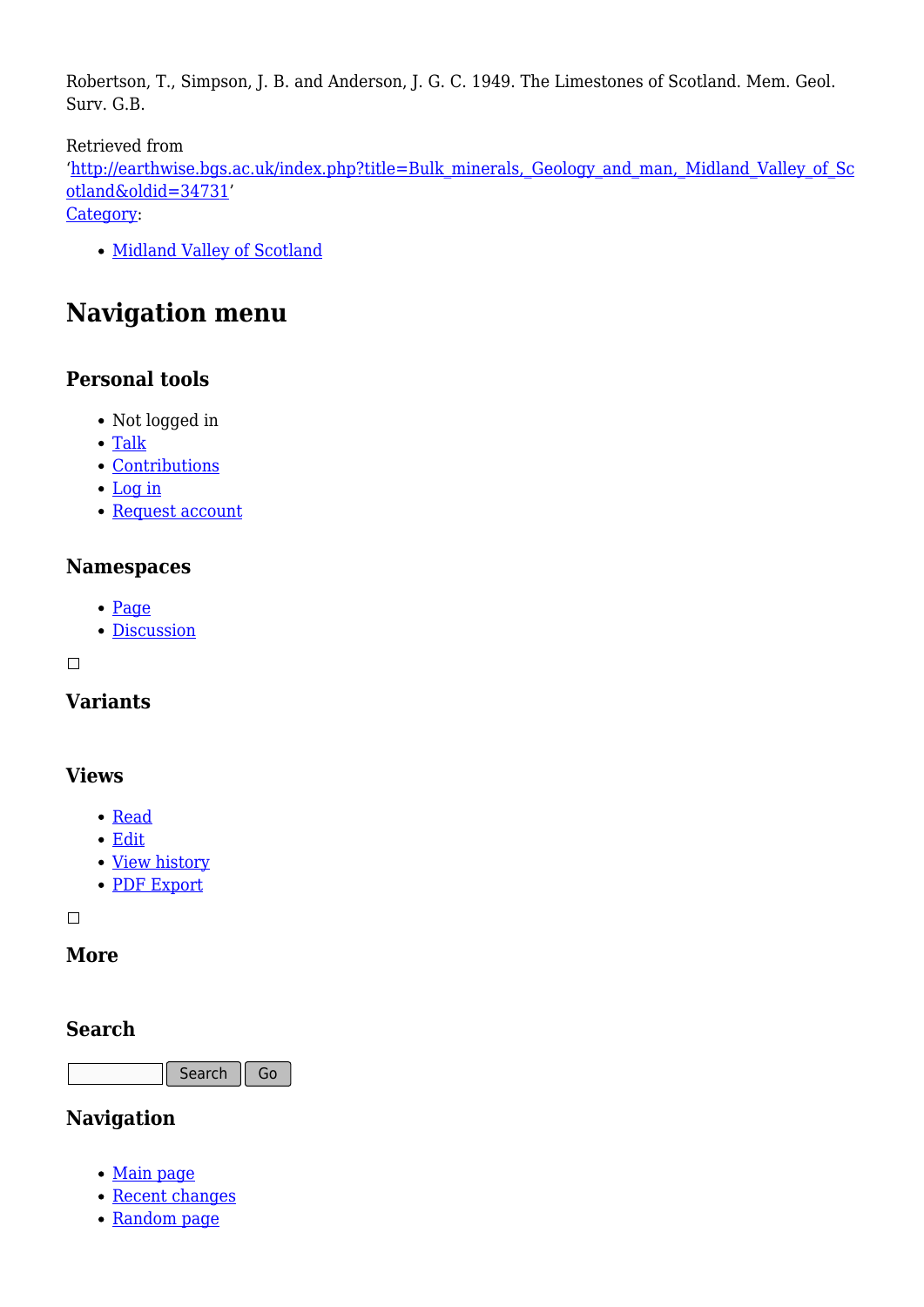Robertson, T., Simpson, J. B. and Anderson, J. G. C. 1949. The Limestones of Scotland. Mem. Geol. Surv. G.B.

Retrieved from

'[http://earthwise.bgs.ac.uk/index.php?title=Bulk\\_minerals,\\_Geology\\_and\\_man,\\_Midland\\_Valley\\_of\\_Sc](http://earthwise.bgs.ac.uk/index.php?title=Bulk_minerals,_Geology_and_man,_Midland_Valley_of_Scotland&oldid=34731) [otland&oldid=34731'](http://earthwise.bgs.ac.uk/index.php?title=Bulk_minerals,_Geology_and_man,_Midland_Valley_of_Scotland&oldid=34731)

[Category](http://earthwise.bgs.ac.uk/index.php/Special:Categories):

[Midland Valley of Scotland](http://earthwise.bgs.ac.uk/index.php/Category:Midland_Valley_of_Scotland)

## **Navigation menu**

#### **Personal tools**

- Not logged in
- [Talk](http://earthwise.bgs.ac.uk/index.php/Special:MyTalk)
- [Contributions](http://earthwise.bgs.ac.uk/index.php/Special:MyContributions)
- [Log in](http://earthwise.bgs.ac.uk/index.php?title=Special:UserLogin&returnto=Bulk+minerals%2C+Geology+and+man%2C+Midland+Valley+of+Scotland&returntoquery=action%3Dmpdf)
- [Request account](http://earthwise.bgs.ac.uk/index.php/Special:RequestAccount)

#### **Namespaces**

- [Page](http://earthwise.bgs.ac.uk/index.php/Bulk_minerals,_Geology_and_man,_Midland_Valley_of_Scotland)
- [Discussion](http://earthwise.bgs.ac.uk/index.php?title=Talk:Bulk_minerals,_Geology_and_man,_Midland_Valley_of_Scotland&action=edit&redlink=1)

 $\Box$ 

#### **Variants**

#### **Views**

- [Read](http://earthwise.bgs.ac.uk/index.php/Bulk_minerals,_Geology_and_man,_Midland_Valley_of_Scotland)
- [Edit](http://earthwise.bgs.ac.uk/index.php?title=Bulk_minerals,_Geology_and_man,_Midland_Valley_of_Scotland&action=edit)
- [View history](http://earthwise.bgs.ac.uk/index.php?title=Bulk_minerals,_Geology_and_man,_Midland_Valley_of_Scotland&action=history)
- [PDF Export](http://earthwise.bgs.ac.uk/index.php?title=Bulk_minerals,_Geology_and_man,_Midland_Valley_of_Scotland&action=mpdf)

 $\Box$ 

#### **More**

#### **Search**

Search Go

#### **Navigation**

- [Main page](http://earthwise.bgs.ac.uk/index.php/Main_Page)
- [Recent changes](http://earthwise.bgs.ac.uk/index.php/Special:RecentChanges)
- [Random page](http://earthwise.bgs.ac.uk/index.php/Special:Random)